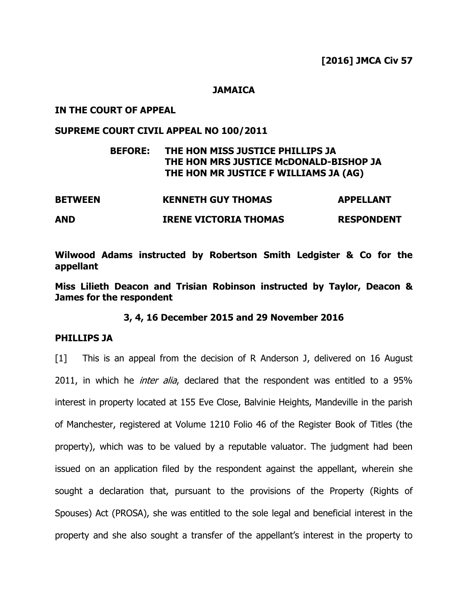#### **JAMAICA**

## **IN THE COURT OF APPEAL**

# **SUPREME COURT CIVIL APPEAL NO 100/2011**

## **BEFORE: THE HON MISS JUSTICE PHILLIPS JA THE HON MRS JUSTICE McDONALD-BISHOP JA THE HON MR JUSTICE F WILLIAMS JA (AG)**

| <b>BETWEEN</b> | <b>KENNETH GUY THOMAS</b>    | <b>APPELLANT</b>  |
|----------------|------------------------------|-------------------|
| <b>AND</b>     | <b>IRENE VICTORIA THOMAS</b> | <b>RESPONDENT</b> |

**Wilwood Adams instructed by Robertson Smith Ledgister & Co for the appellant**

**Miss Lilieth Deacon and Trisian Robinson instructed by Taylor, Deacon & James for the respondent**

**3, 4, 16 December 2015 and 29 November 2016**

#### **PHILLIPS JA**

[1] This is an appeal from the decision of R Anderson J, delivered on 16 August 2011, in which he *inter alia*, declared that the respondent was entitled to a 95% interest in property located at 155 Eve Close, Balvinie Heights, Mandeville in the parish of Manchester, registered at Volume 1210 Folio 46 of the Register Book of Titles (the property), which was to be valued by a reputable valuator. The judgment had been issued on an application filed by the respondent against the appellant, wherein she sought a declaration that, pursuant to the provisions of the Property (Rights of Spouses) Act (PROSA), she was entitled to the sole legal and beneficial interest in the property and she also sought a transfer of the appellant's interest in the property to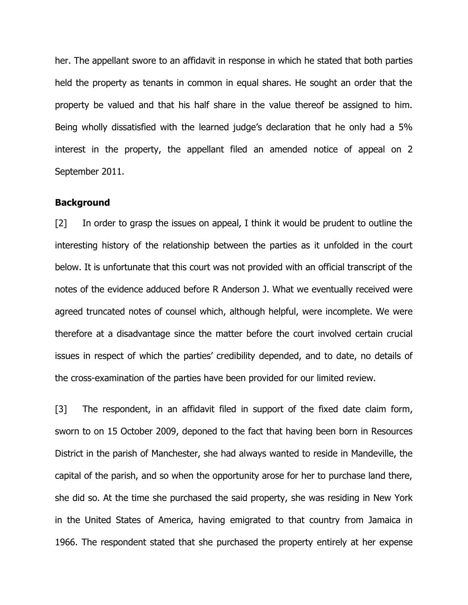her. The appellant swore to an affidavit in response in which he stated that both parties held the property as tenants in common in equal shares. He sought an order that the property be valued and that his half share in the value thereof be assigned to him. Being wholly dissatisfied with the learned judge's declaration that he only had a 5% interest in the property, the appellant filed an amended notice of appeal on 2 September 2011.

#### **Background**

[2] In order to grasp the issues on appeal, I think it would be prudent to outline the interesting history of the relationship between the parties as it unfolded in the court below. It is unfortunate that this court was not provided with an official transcript of the notes of the evidence adduced before R Anderson J. What we eventually received were agreed truncated notes of counsel which, although helpful, were incomplete. We were therefore at a disadvantage since the matter before the court involved certain crucial issues in respect of which the parties' credibility depended, and to date, no details of the cross-examination of the parties have been provided for our limited review.

[3] The respondent, in an affidavit filed in support of the fixed date claim form, sworn to on 15 October 2009, deponed to the fact that having been born in Resources District in the parish of Manchester, she had always wanted to reside in Mandeville, the capital of the parish, and so when the opportunity arose for her to purchase land there, she did so. At the time she purchased the said property, she was residing in New York in the United States of America, having emigrated to that country from Jamaica in 1966. The respondent stated that she purchased the property entirely at her expense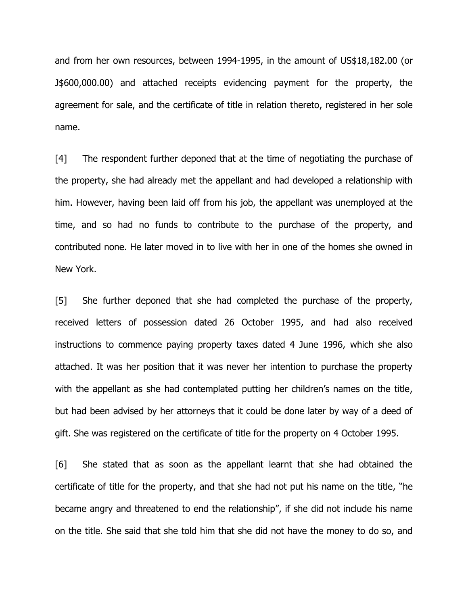and from her own resources, between 1994-1995, in the amount of US\$18,182.00 (or J\$600,000.00) and attached receipts evidencing payment for the property, the agreement for sale, and the certificate of title in relation thereto, registered in her sole name.

[4] The respondent further deponed that at the time of negotiating the purchase of the property, she had already met the appellant and had developed a relationship with him. However, having been laid off from his job, the appellant was unemployed at the time, and so had no funds to contribute to the purchase of the property, and contributed none. He later moved in to live with her in one of the homes she owned in New York.

[5] She further deponed that she had completed the purchase of the property, received letters of possession dated 26 October 1995, and had also received instructions to commence paying property taxes dated 4 June 1996, which she also attached. It was her position that it was never her intention to purchase the property with the appellant as she had contemplated putting her children's names on the title, but had been advised by her attorneys that it could be done later by way of a deed of gift. She was registered on the certificate of title for the property on 4 October 1995.

[6] She stated that as soon as the appellant learnt that she had obtained the certificate of title for the property, and that she had not put his name on the title, "he became angry and threatened to end the relationship", if she did not include his name on the title. She said that she told him that she did not have the money to do so, and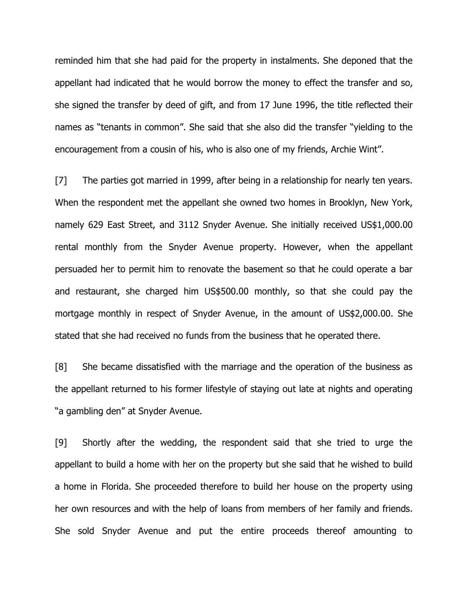reminded him that she had paid for the property in instalments. She deponed that the appellant had indicated that he would borrow the money to effect the transfer and so, she signed the transfer by deed of gift, and from 17 June 1996, the title reflected their names as "tenants in common". She said that she also did the transfer "yielding to the encouragement from a cousin of his, who is also one of my friends, Archie Wint".

[7] The parties got married in 1999, after being in a relationship for nearly ten years. When the respondent met the appellant she owned two homes in Brooklyn, New York, namely 629 East Street, and 3112 Snyder Avenue. She initially received US\$1,000.00 rental monthly from the Snyder Avenue property. However, when the appellant persuaded her to permit him to renovate the basement so that he could operate a bar and restaurant, she charged him US\$500.00 monthly, so that she could pay the mortgage monthly in respect of Snyder Avenue, in the amount of US\$2,000.00. She stated that she had received no funds from the business that he operated there.

[8] She became dissatisfied with the marriage and the operation of the business as the appellant returned to his former lifestyle of staying out late at nights and operating "a gambling den" at Snyder Avenue.

[9] Shortly after the wedding, the respondent said that she tried to urge the appellant to build a home with her on the property but she said that he wished to build a home in Florida. She proceeded therefore to build her house on the property using her own resources and with the help of loans from members of her family and friends. She sold Snyder Avenue and put the entire proceeds thereof amounting to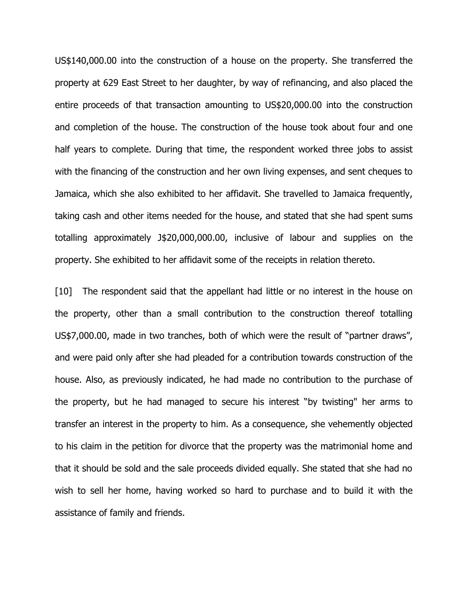US\$140,000.00 into the construction of a house on the property. She transferred the property at 629 East Street to her daughter, by way of refinancing, and also placed the entire proceeds of that transaction amounting to US\$20,000.00 into the construction and completion of the house. The construction of the house took about four and one half years to complete. During that time, the respondent worked three jobs to assist with the financing of the construction and her own living expenses, and sent cheques to Jamaica, which she also exhibited to her affidavit. She travelled to Jamaica frequently, taking cash and other items needed for the house, and stated that she had spent sums totalling approximately J\$20,000,000.00, inclusive of labour and supplies on the property. She exhibited to her affidavit some of the receipts in relation thereto.

[10] The respondent said that the appellant had little or no interest in the house on the property, other than a small contribution to the construction thereof totalling US\$7,000.00, made in two tranches, both of which were the result of "partner draws", and were paid only after she had pleaded for a contribution towards construction of the house. Also, as previously indicated, he had made no contribution to the purchase of the property, but he had managed to secure his interest "by twisting" her arms to transfer an interest in the property to him. As a consequence, she vehemently objected to his claim in the petition for divorce that the property was the matrimonial home and that it should be sold and the sale proceeds divided equally. She stated that she had no wish to sell her home, having worked so hard to purchase and to build it with the assistance of family and friends.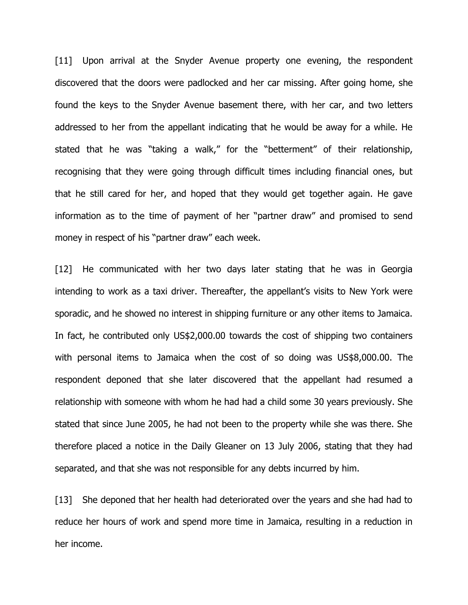[11] Upon arrival at the Snyder Avenue property one evening, the respondent discovered that the doors were padlocked and her car missing. After going home, she found the keys to the Snyder Avenue basement there, with her car, and two letters addressed to her from the appellant indicating that he would be away for a while. He stated that he was "taking a walk," for the "betterment" of their relationship, recognising that they were going through difficult times including financial ones, but that he still cared for her, and hoped that they would get together again. He gave information as to the time of payment of her "partner draw" and promised to send money in respect of his "partner draw" each week.

[12] He communicated with her two days later stating that he was in Georgia intending to work as a taxi driver. Thereafter, the appellant's visits to New York were sporadic, and he showed no interest in shipping furniture or any other items to Jamaica. In fact, he contributed only US\$2,000.00 towards the cost of shipping two containers with personal items to Jamaica when the cost of so doing was US\$8,000.00. The respondent deponed that she later discovered that the appellant had resumed a relationship with someone with whom he had had a child some 30 years previously. She stated that since June 2005, he had not been to the property while she was there. She therefore placed a notice in the Daily Gleaner on 13 July 2006, stating that they had separated, and that she was not responsible for any debts incurred by him.

[13] She deponed that her health had deteriorated over the years and she had had to reduce her hours of work and spend more time in Jamaica, resulting in a reduction in her income.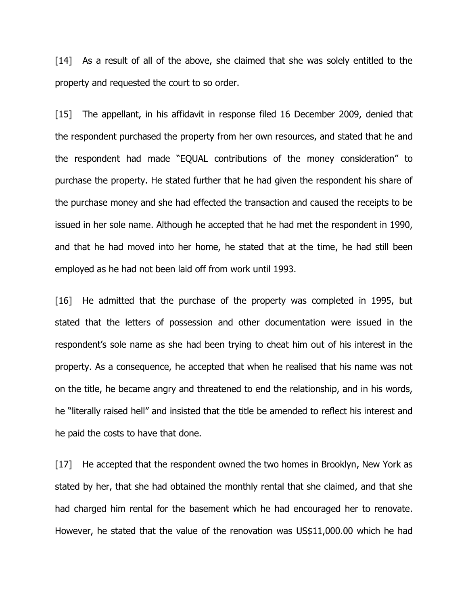[14] As a result of all of the above, she claimed that she was solely entitled to the property and requested the court to so order.

[15] The appellant, in his affidavit in response filed 16 December 2009, denied that the respondent purchased the property from her own resources, and stated that he and the respondent had made "EQUAL contributions of the money consideration" to purchase the property. He stated further that he had given the respondent his share of the purchase money and she had effected the transaction and caused the receipts to be issued in her sole name. Although he accepted that he had met the respondent in 1990, and that he had moved into her home, he stated that at the time, he had still been employed as he had not been laid off from work until 1993.

[16] He admitted that the purchase of the property was completed in 1995, but stated that the letters of possession and other documentation were issued in the respondent's sole name as she had been trying to cheat him out of his interest in the property. As a consequence, he accepted that when he realised that his name was not on the title, he became angry and threatened to end the relationship, and in his words, he "literally raised hell" and insisted that the title be amended to reflect his interest and he paid the costs to have that done.

[17] He accepted that the respondent owned the two homes in Brooklyn, New York as stated by her, that she had obtained the monthly rental that she claimed, and that she had charged him rental for the basement which he had encouraged her to renovate. However, he stated that the value of the renovation was US\$11,000.00 which he had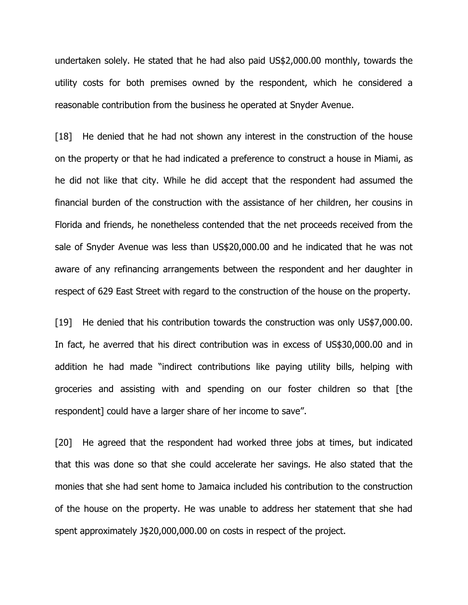undertaken solely. He stated that he had also paid US\$2,000.00 monthly, towards the utility costs for both premises owned by the respondent, which he considered a reasonable contribution from the business he operated at Snyder Avenue.

[18] He denied that he had not shown any interest in the construction of the house on the property or that he had indicated a preference to construct a house in Miami, as he did not like that city. While he did accept that the respondent had assumed the financial burden of the construction with the assistance of her children, her cousins in Florida and friends, he nonetheless contended that the net proceeds received from the sale of Snyder Avenue was less than US\$20,000.00 and he indicated that he was not aware of any refinancing arrangements between the respondent and her daughter in respect of 629 East Street with regard to the construction of the house on the property.

[19] He denied that his contribution towards the construction was only US\$7,000.00. In fact, he averred that his direct contribution was in excess of US\$30,000.00 and in addition he had made "indirect contributions like paying utility bills, helping with groceries and assisting with and spending on our foster children so that [the respondent] could have a larger share of her income to save".

[20] He agreed that the respondent had worked three jobs at times, but indicated that this was done so that she could accelerate her savings. He also stated that the monies that she had sent home to Jamaica included his contribution to the construction of the house on the property. He was unable to address her statement that she had spent approximately J\$20,000,000.00 on costs in respect of the project.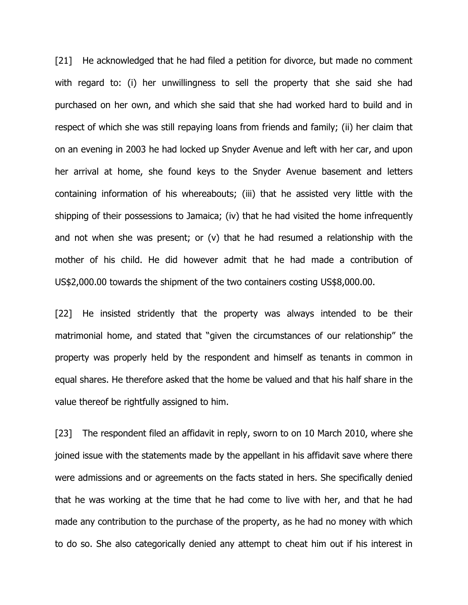[21] He acknowledged that he had filed a petition for divorce, but made no comment with regard to: (i) her unwillingness to sell the property that she said she had purchased on her own, and which she said that she had worked hard to build and in respect of which she was still repaying loans from friends and family; (ii) her claim that on an evening in 2003 he had locked up Snyder Avenue and left with her car, and upon her arrival at home, she found keys to the Snyder Avenue basement and letters containing information of his whereabouts; (iii) that he assisted very little with the shipping of their possessions to Jamaica; (iv) that he had visited the home infrequently and not when she was present; or (v) that he had resumed a relationship with the mother of his child. He did however admit that he had made a contribution of US\$2,000.00 towards the shipment of the two containers costing US\$8,000.00.

[22] He insisted stridently that the property was always intended to be their matrimonial home, and stated that "given the circumstances of our relationship" the property was properly held by the respondent and himself as tenants in common in equal shares. He therefore asked that the home be valued and that his half share in the value thereof be rightfully assigned to him.

[23] The respondent filed an affidavit in reply, sworn to on 10 March 2010, where she joined issue with the statements made by the appellant in his affidavit save where there were admissions and or agreements on the facts stated in hers. She specifically denied that he was working at the time that he had come to live with her, and that he had made any contribution to the purchase of the property, as he had no money with which to do so. She also categorically denied any attempt to cheat him out if his interest in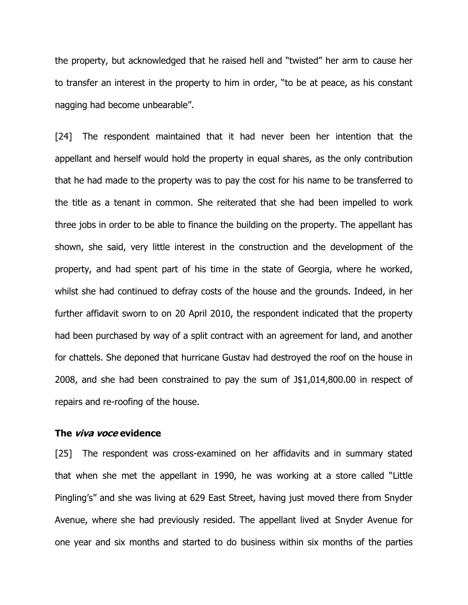the property, but acknowledged that he raised hell and "twisted" her arm to cause her to transfer an interest in the property to him in order, "to be at peace, as his constant nagging had become unbearable".

[24] The respondent maintained that it had never been her intention that the appellant and herself would hold the property in equal shares, as the only contribution that he had made to the property was to pay the cost for his name to be transferred to the title as a tenant in common. She reiterated that she had been impelled to work three jobs in order to be able to finance the building on the property. The appellant has shown, she said, very little interest in the construction and the development of the property, and had spent part of his time in the state of Georgia, where he worked, whilst she had continued to defray costs of the house and the grounds. Indeed, in her further affidavit sworn to on 20 April 2010, the respondent indicated that the property had been purchased by way of a split contract with an agreement for land, and another for chattels. She deponed that hurricane Gustav had destroyed the roof on the house in 2008, and she had been constrained to pay the sum of J\$1,014,800.00 in respect of repairs and re-roofing of the house.

## **The viva voce evidence**

[25] The respondent was cross-examined on her affidavits and in summary stated that when she met the appellant in 1990, he was working at a store called "Little Pingling"s" and she was living at 629 East Street, having just moved there from Snyder Avenue, where she had previously resided. The appellant lived at Snyder Avenue for one year and six months and started to do business within six months of the parties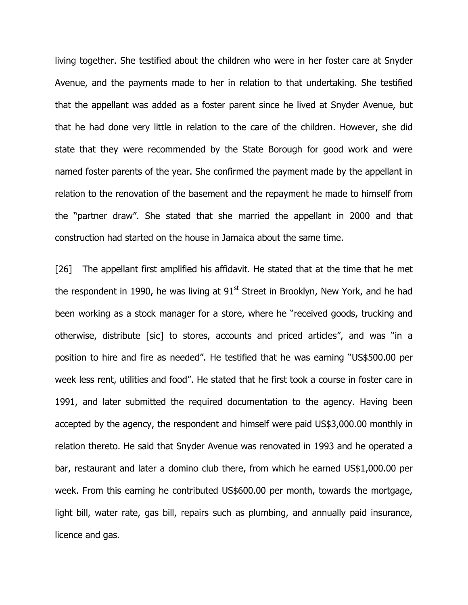living together. She testified about the children who were in her foster care at Snyder Avenue, and the payments made to her in relation to that undertaking. She testified that the appellant was added as a foster parent since he lived at Snyder Avenue, but that he had done very little in relation to the care of the children. However, she did state that they were recommended by the State Borough for good work and were named foster parents of the year. She confirmed the payment made by the appellant in relation to the renovation of the basement and the repayment he made to himself from the "partner draw". She stated that she married the appellant in 2000 and that construction had started on the house in Jamaica about the same time.

[26] The appellant first amplified his affidavit. He stated that at the time that he met the respondent in 1990, he was living at  $91<sup>st</sup>$  Street in Brooklyn, New York, and he had been working as a stock manager for a store, where he "received goods, trucking and otherwise, distribute [sic] to stores, accounts and priced articles", and was "in a position to hire and fire as needed". He testified that he was earning "US\$500.00 per week less rent, utilities and food". He stated that he first took a course in foster care in 1991, and later submitted the required documentation to the agency. Having been accepted by the agency, the respondent and himself were paid US\$3,000.00 monthly in relation thereto. He said that Snyder Avenue was renovated in 1993 and he operated a bar, restaurant and later a domino club there, from which he earned US\$1,000.00 per week. From this earning he contributed US\$600.00 per month, towards the mortgage, light bill, water rate, gas bill, repairs such as plumbing, and annually paid insurance, licence and gas.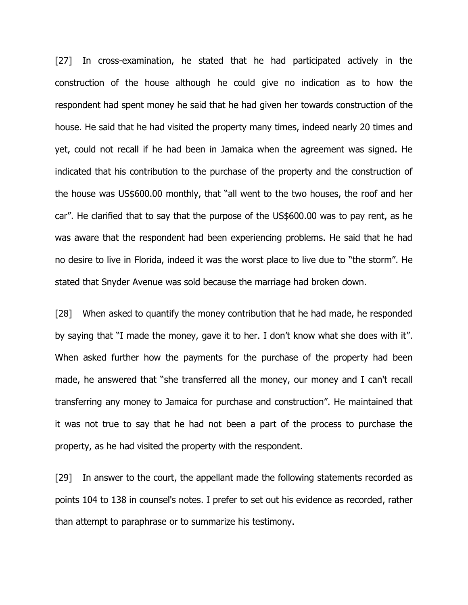[27] In cross-examination, he stated that he had participated actively in the construction of the house although he could give no indication as to how the respondent had spent money he said that he had given her towards construction of the house. He said that he had visited the property many times, indeed nearly 20 times and yet, could not recall if he had been in Jamaica when the agreement was signed. He indicated that his contribution to the purchase of the property and the construction of the house was US\$600.00 monthly, that "all went to the two houses, the roof and her car". He clarified that to say that the purpose of the US\$600.00 was to pay rent, as he was aware that the respondent had been experiencing problems. He said that he had no desire to live in Florida, indeed it was the worst place to live due to "the storm". He stated that Snyder Avenue was sold because the marriage had broken down.

[28] When asked to quantify the money contribution that he had made, he responded by saying that "I made the money, gave it to her. I don"t know what she does with it". When asked further how the payments for the purchase of the property had been made, he answered that "she transferred all the money, our money and I can't recall transferring any money to Jamaica for purchase and construction". He maintained that it was not true to say that he had not been a part of the process to purchase the property, as he had visited the property with the respondent.

[29] In answer to the court, the appellant made the following statements recorded as points 104 to 138 in counsel's notes. I prefer to set out his evidence as recorded, rather than attempt to paraphrase or to summarize his testimony.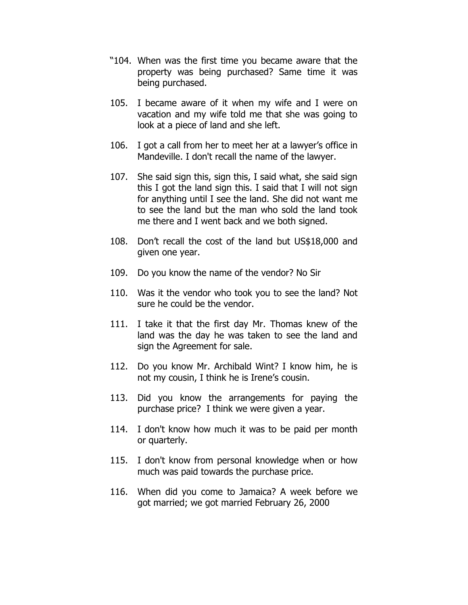- "104. When was the first time you became aware that the property was being purchased? Same time it was being purchased.
- 105. I became aware of it when my wife and I were on vacation and my wife told me that she was going to look at a piece of land and she left.
- 106. I got a call from her to meet her at a lawyer"s office in Mandeville. I don't recall the name of the lawyer.
- 107. She said sign this, sign this, I said what, she said sign this I got the land sign this. I said that I will not sign for anything until I see the land. She did not want me to see the land but the man who sold the land took me there and I went back and we both signed.
- 108. Don"t recall the cost of the land but US\$18,000 and given one year.
- 109. Do you know the name of the vendor? No Sir
- 110. Was it the vendor who took you to see the land? Not sure he could be the vendor.
- 111. I take it that the first day Mr. Thomas knew of the land was the day he was taken to see the land and sign the Agreement for sale.
- 112. Do you know Mr. Archibald Wint? I know him, he is not my cousin, I think he is Irene's cousin.
- 113. Did you know the arrangements for paying the purchase price? I think we were given a year.
- 114. I don't know how much it was to be paid per month or quarterly.
- 115. I don't know from personal knowledge when or how much was paid towards the purchase price.
- 116. When did you come to Jamaica? A week before we got married; we got married February 26, 2000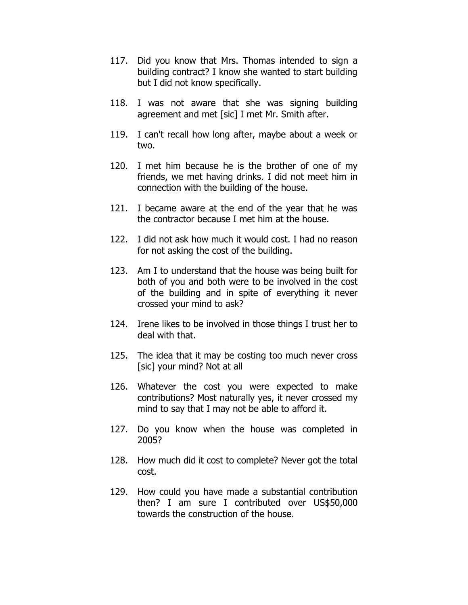- 117. Did you know that Mrs. Thomas intended to sign a building contract? I know she wanted to start building but I did not know specifically.
- 118. I was not aware that she was signing building agreement and met [sic] I met Mr. Smith after.
- 119. I can't recall how long after, maybe about a week or two.
- 120. I met him because he is the brother of one of my friends, we met having drinks. I did not meet him in connection with the building of the house.
- 121. I became aware at the end of the year that he was the contractor because I met him at the house.
- 122. I did not ask how much it would cost. I had no reason for not asking the cost of the building.
- 123. Am I to understand that the house was being built for both of you and both were to be involved in the cost of the building and in spite of everything it never crossed your mind to ask?
- 124. Irene likes to be involved in those things I trust her to deal with that.
- 125. The idea that it may be costing too much never cross [sic] your mind? Not at all
- 126. Whatever the cost you were expected to make contributions? Most naturally yes, it never crossed my mind to say that I may not be able to afford it.
- 127. Do you know when the house was completed in 2005?
- 128. How much did it cost to complete? Never got the total cost.
- 129. How could you have made a substantial contribution then? I am sure I contributed over US\$50,000 towards the construction of the house.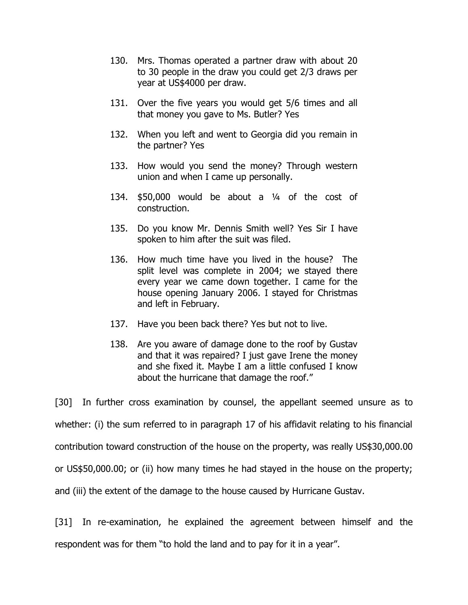- 130. Mrs. Thomas operated a partner draw with about 20 to 30 people in the draw you could get 2/3 draws per year at US\$4000 per draw.
- 131. Over the five years you would get 5/6 times and all that money you gave to Ms. Butler? Yes
- 132. When you left and went to Georgia did you remain in the partner? Yes
- 133. How would you send the money? Through western union and when I came up personally.
- 134.  $$50,000$  would be about a  $\frac{1}{4}$  of the cost of construction.
- 135. Do you know Mr. Dennis Smith well? Yes Sir I have spoken to him after the suit was filed.
- 136. How much time have you lived in the house? The split level was complete in 2004; we stayed there every year we came down together. I came for the house opening January 2006. I stayed for Christmas and left in February.
- 137. Have you been back there? Yes but not to live.
- 138. Are you aware of damage done to the roof by Gustav and that it was repaired? I just gave Irene the money and she fixed it. Maybe I am a little confused I know about the hurricane that damage the roof."

[30] In further cross examination by counsel, the appellant seemed unsure as to whether: (i) the sum referred to in paragraph 17 of his affidavit relating to his financial contribution toward construction of the house on the property, was really US\$30,000.00 or US\$50,000.00; or (ii) how many times he had stayed in the house on the property; and (iii) the extent of the damage to the house caused by Hurricane Gustav.

[31] In re-examination, he explained the agreement between himself and the respondent was for them "to hold the land and to pay for it in a year".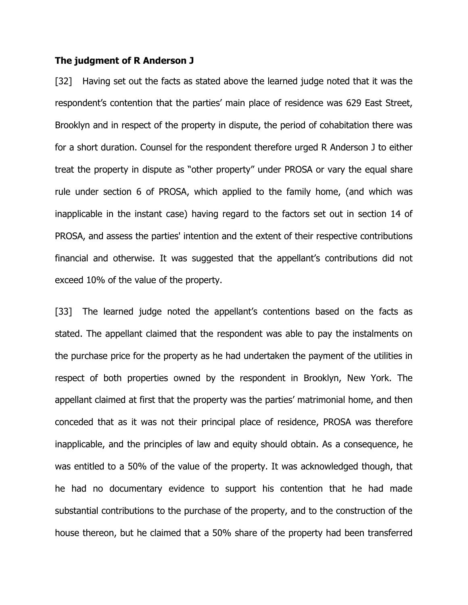#### **The judgment of R Anderson J**

[32] Having set out the facts as stated above the learned judge noted that it was the respondent's contention that the parties' main place of residence was 629 East Street, Brooklyn and in respect of the property in dispute, the period of cohabitation there was for a short duration. Counsel for the respondent therefore urged R Anderson J to either treat the property in dispute as "other property" under PROSA or vary the equal share rule under section 6 of PROSA, which applied to the family home, (and which was inapplicable in the instant case) having regard to the factors set out in section 14 of PROSA, and assess the parties' intention and the extent of their respective contributions financial and otherwise. It was suggested that the appellant's contributions did not exceed 10% of the value of the property.

[33] The learned judge noted the appellant's contentions based on the facts as stated. The appellant claimed that the respondent was able to pay the instalments on the purchase price for the property as he had undertaken the payment of the utilities in respect of both properties owned by the respondent in Brooklyn, New York. The appellant claimed at first that the property was the parties' matrimonial home, and then conceded that as it was not their principal place of residence, PROSA was therefore inapplicable, and the principles of law and equity should obtain. As a consequence, he was entitled to a 50% of the value of the property. It was acknowledged though, that he had no documentary evidence to support his contention that he had made substantial contributions to the purchase of the property, and to the construction of the house thereon, but he claimed that a 50% share of the property had been transferred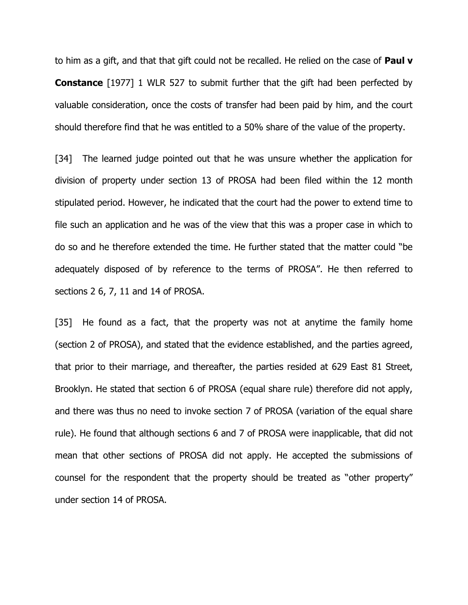to him as a gift, and that that gift could not be recalled. He relied on the case of **Paul v Constance** [1977] 1 WLR 527 to submit further that the gift had been perfected by valuable consideration, once the costs of transfer had been paid by him, and the court should therefore find that he was entitled to a 50% share of the value of the property.

[34] The learned judge pointed out that he was unsure whether the application for division of property under section 13 of PROSA had been filed within the 12 month stipulated period. However, he indicated that the court had the power to extend time to file such an application and he was of the view that this was a proper case in which to do so and he therefore extended the time. He further stated that the matter could "be adequately disposed of by reference to the terms of PROSA". He then referred to sections 2 6, 7, 11 and 14 of PROSA.

[35] He found as a fact, that the property was not at anytime the family home (section 2 of PROSA), and stated that the evidence established, and the parties agreed, that prior to their marriage, and thereafter, the parties resided at 629 East 81 Street, Brooklyn. He stated that section 6 of PROSA (equal share rule) therefore did not apply, and there was thus no need to invoke section 7 of PROSA (variation of the equal share rule). He found that although sections 6 and 7 of PROSA were inapplicable, that did not mean that other sections of PROSA did not apply. He accepted the submissions of counsel for the respondent that the property should be treated as "other property" under section 14 of PROSA.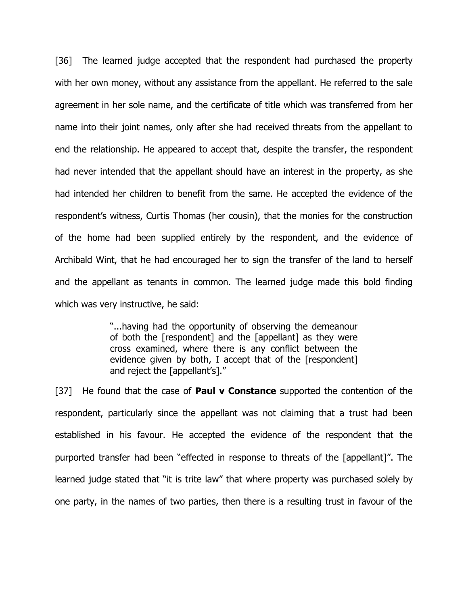[36] The learned judge accepted that the respondent had purchased the property with her own money, without any assistance from the appellant. He referred to the sale agreement in her sole name, and the certificate of title which was transferred from her name into their joint names, only after she had received threats from the appellant to end the relationship. He appeared to accept that, despite the transfer, the respondent had never intended that the appellant should have an interest in the property, as she had intended her children to benefit from the same. He accepted the evidence of the respondent"s witness, Curtis Thomas (her cousin), that the monies for the construction of the home had been supplied entirely by the respondent, and the evidence of Archibald Wint, that he had encouraged her to sign the transfer of the land to herself and the appellant as tenants in common. The learned judge made this bold finding which was very instructive, he said:

> "...having had the opportunity of observing the demeanour of both the [respondent] and the [appellant] as they were cross examined, where there is any conflict between the evidence given by both, I accept that of the [respondent] and reject the [appellant's]."

[37] He found that the case of **Paul v Constance** supported the contention of the respondent, particularly since the appellant was not claiming that a trust had been established in his favour. He accepted the evidence of the respondent that the purported transfer had been "effected in response to threats of the [appellant]". The learned judge stated that "it is trite law" that where property was purchased solely by one party, in the names of two parties, then there is a resulting trust in favour of the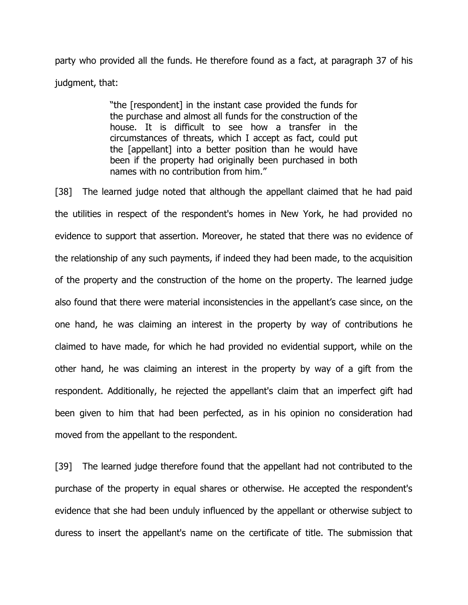party who provided all the funds. He therefore found as a fact, at paragraph 37 of his judgment, that:

> "the [respondent] in the instant case provided the funds for the purchase and almost all funds for the construction of the house. It is difficult to see how a transfer in the circumstances of threats, which I accept as fact, could put the [appellant] into a better position than he would have been if the property had originally been purchased in both names with no contribution from him."

[38] The learned judge noted that although the appellant claimed that he had paid the utilities in respect of the respondent's homes in New York, he had provided no evidence to support that assertion. Moreover, he stated that there was no evidence of the relationship of any such payments, if indeed they had been made, to the acquisition of the property and the construction of the home on the property. The learned judge also found that there were material inconsistencies in the appellant"s case since, on the one hand, he was claiming an interest in the property by way of contributions he claimed to have made, for which he had provided no evidential support, while on the other hand, he was claiming an interest in the property by way of a gift from the respondent. Additionally, he rejected the appellant's claim that an imperfect gift had been given to him that had been perfected, as in his opinion no consideration had moved from the appellant to the respondent.

[39] The learned judge therefore found that the appellant had not contributed to the purchase of the property in equal shares or otherwise. He accepted the respondent's evidence that she had been unduly influenced by the appellant or otherwise subject to duress to insert the appellant's name on the certificate of title. The submission that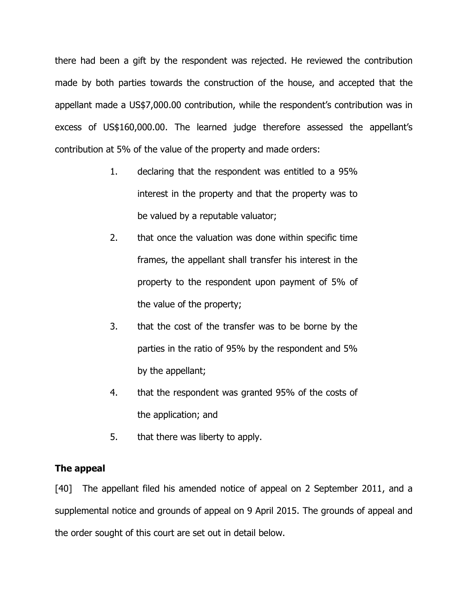there had been a gift by the respondent was rejected. He reviewed the contribution made by both parties towards the construction of the house, and accepted that the appellant made a US\$7,000.00 contribution, while the respondent's contribution was in excess of US\$160,000.00. The learned judge therefore assessed the appellant"s contribution at 5% of the value of the property and made orders:

- 1. declaring that the respondent was entitled to a 95% interest in the property and that the property was to be valued by a reputable valuator;
- 2. that once the valuation was done within specific time frames, the appellant shall transfer his interest in the property to the respondent upon payment of 5% of the value of the property;
- 3. that the cost of the transfer was to be borne by the parties in the ratio of 95% by the respondent and 5% by the appellant;
- 4. that the respondent was granted 95% of the costs of the application; and
- 5. that there was liberty to apply.

# **The appeal**

[40] The appellant filed his amended notice of appeal on 2 September 2011, and a supplemental notice and grounds of appeal on 9 April 2015. The grounds of appeal and the order sought of this court are set out in detail below.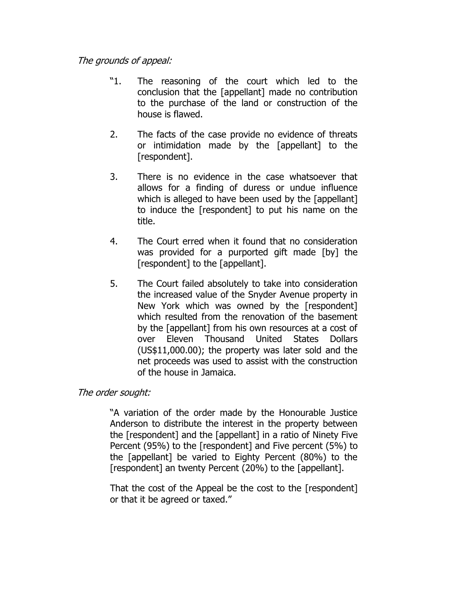# The grounds of appeal:

- "1. The reasoning of the court which led to the conclusion that the [appellant] made no contribution to the purchase of the land or construction of the house is flawed.
- 2. The facts of the case provide no evidence of threats or intimidation made by the [appellant] to the [respondent].
- 3. There is no evidence in the case whatsoever that allows for a finding of duress or undue influence which is alleged to have been used by the [appellant] to induce the [respondent] to put his name on the title.
- 4. The Court erred when it found that no consideration was provided for a purported gift made [by] the [respondent] to the [appellant].
- 5. The Court failed absolutely to take into consideration the increased value of the Snyder Avenue property in New York which was owned by the [respondent] which resulted from the renovation of the basement by the [appellant] from his own resources at a cost of over Eleven Thousand United States Dollars (US\$11,000.00); the property was later sold and the net proceeds was used to assist with the construction of the house in Jamaica.

# The order sought:

"A variation of the order made by the Honourable Justice Anderson to distribute the interest in the property between the [respondent] and the [appellant] in a ratio of Ninety Five Percent (95%) to the [respondent] and Five percent (5%) to the [appellant] be varied to Eighty Percent (80%) to the [respondent] an twenty Percent (20%) to the [appellant].

That the cost of the Appeal be the cost to the [respondent] or that it be agreed or taxed."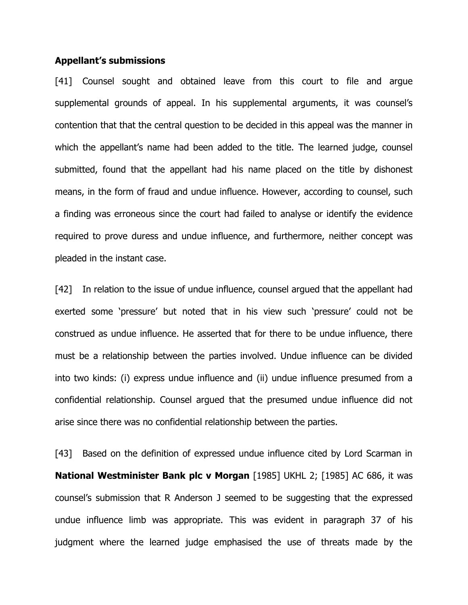#### **Appellant's submissions**

[41] Counsel sought and obtained leave from this court to file and argue supplemental grounds of appeal. In his supplemental arguments, it was counsel's contention that that the central question to be decided in this appeal was the manner in which the appellant's name had been added to the title. The learned judge, counsel submitted, found that the appellant had his name placed on the title by dishonest means, in the form of fraud and undue influence. However, according to counsel, such a finding was erroneous since the court had failed to analyse or identify the evidence required to prove duress and undue influence, and furthermore, neither concept was pleaded in the instant case.

[42] In relation to the issue of undue influence, counsel argued that the appellant had exerted some 'pressure' but noted that in his view such 'pressure' could not be construed as undue influence. He asserted that for there to be undue influence, there must be a relationship between the parties involved. Undue influence can be divided into two kinds: (i) express undue influence and (ii) undue influence presumed from a confidential relationship. Counsel argued that the presumed undue influence did not arise since there was no confidential relationship between the parties.

[43] Based on the definition of expressed undue influence cited by Lord Scarman in **National Westminister Bank plc v Morgan** [1985] UKHL 2; [1985] AC 686, it was counsel"s submission that R Anderson J seemed to be suggesting that the expressed undue influence limb was appropriate. This was evident in paragraph 37 of his judgment where the learned judge emphasised the use of threats made by the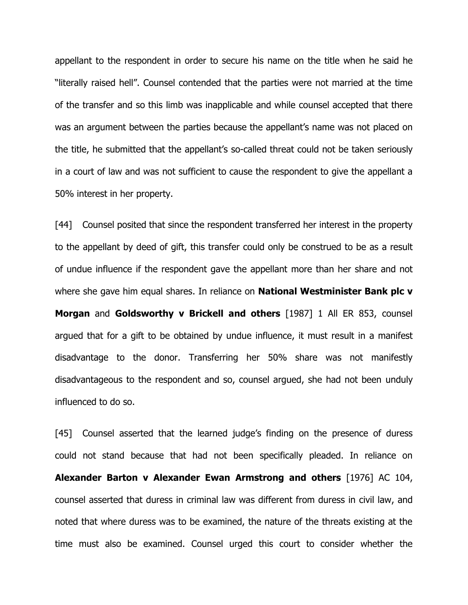appellant to the respondent in order to secure his name on the title when he said he "literally raised hell". Counsel contended that the parties were not married at the time of the transfer and so this limb was inapplicable and while counsel accepted that there was an argument between the parties because the appellant"s name was not placed on the title, he submitted that the appellant"s so-called threat could not be taken seriously in a court of law and was not sufficient to cause the respondent to give the appellant a 50% interest in her property.

[44] Counsel posited that since the respondent transferred her interest in the property to the appellant by deed of gift, this transfer could only be construed to be as a result of undue influence if the respondent gave the appellant more than her share and not where she gave him equal shares. In reliance on **National Westminister Bank plc v Morgan** and **Goldsworthy v Brickell and others** [1987] 1 All ER 853, counsel argued that for a gift to be obtained by undue influence, it must result in a manifest disadvantage to the donor. Transferring her 50% share was not manifestly disadvantageous to the respondent and so, counsel argued, she had not been unduly influenced to do so.

[45] Counsel asserted that the learned judge's finding on the presence of duress could not stand because that had not been specifically pleaded. In reliance on **Alexander Barton v Alexander Ewan Armstrong and others** [1976] AC 104, counsel asserted that duress in criminal law was different from duress in civil law, and noted that where duress was to be examined, the nature of the threats existing at the time must also be examined. Counsel urged this court to consider whether the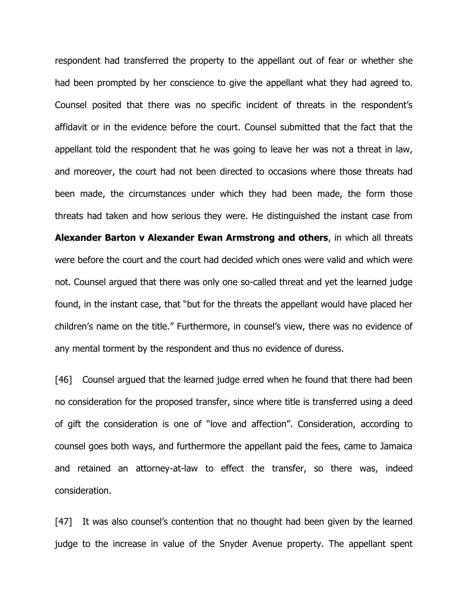respondent had transferred the property to the appellant out of fear or whether she had been prompted by her conscience to give the appellant what they had agreed to. Counsel posited that there was no specific incident of threats in the respondent"s affidavit or in the evidence before the court. Counsel submitted that the fact that the appellant told the respondent that he was going to leave her was not a threat in law, and moreover, the court had not been directed to occasions where those threats had been made, the circumstances under which they had been made, the form those threats had taken and how serious they were. He distinguished the instant case from **Alexander Barton v Alexander Ewan Armstrong and others**, in which all threats were before the court and the court had decided which ones were valid and which were not. Counsel argued that there was only one so-called threat and yet the learned judge found, in the instant case, that "but for the threats the appellant would have placed her children's name on the title." Furthermore, in counsel's view, there was no evidence of any mental torment by the respondent and thus no evidence of duress.

[46] Counsel argued that the learned judge erred when he found that there had been no consideration for the proposed transfer, since where title is transferred using a deed of gift the consideration is one of "love and affection". Consideration, according to counsel goes both ways, and furthermore the appellant paid the fees, came to Jamaica and retained an attorney-at-law to effect the transfer, so there was, indeed consideration.

[47] It was also counsel's contention that no thought had been given by the learned judge to the increase in value of the Snyder Avenue property. The appellant spent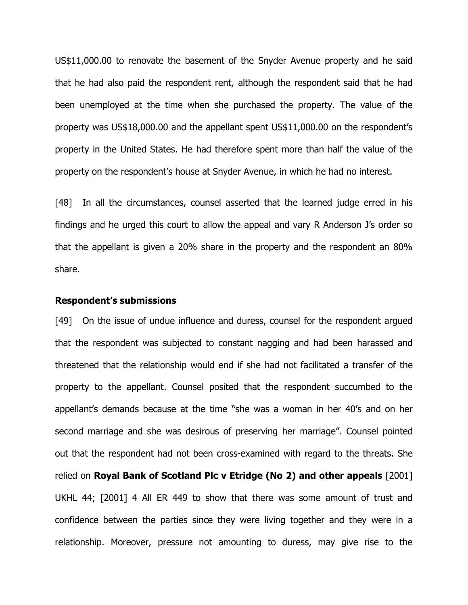US\$11,000.00 to renovate the basement of the Snyder Avenue property and he said that he had also paid the respondent rent, although the respondent said that he had been unemployed at the time when she purchased the property. The value of the property was US\$18,000.00 and the appellant spent US\$11,000.00 on the respondent"s property in the United States. He had therefore spent more than half the value of the property on the respondent"s house at Snyder Avenue, in which he had no interest.

[48] In all the circumstances, counsel asserted that the learned judge erred in his findings and he urged this court to allow the appeal and vary R Anderson J's order so that the appellant is given a 20% share in the property and the respondent an 80% share.

#### **Respondent's submissions**

[49] On the issue of undue influence and duress, counsel for the respondent argued that the respondent was subjected to constant nagging and had been harassed and threatened that the relationship would end if she had not facilitated a transfer of the property to the appellant. Counsel posited that the respondent succumbed to the appellant"s demands because at the time "she was a woman in her 40"s and on her second marriage and she was desirous of preserving her marriage". Counsel pointed out that the respondent had not been cross-examined with regard to the threats. She relied on **Royal Bank of Scotland Plc v Etridge (No 2) and other appeals** [2001] UKHL 44; [2001] 4 All ER 449 to show that there was some amount of trust and confidence between the parties since they were living together and they were in a relationship. Moreover, pressure not amounting to duress, may give rise to the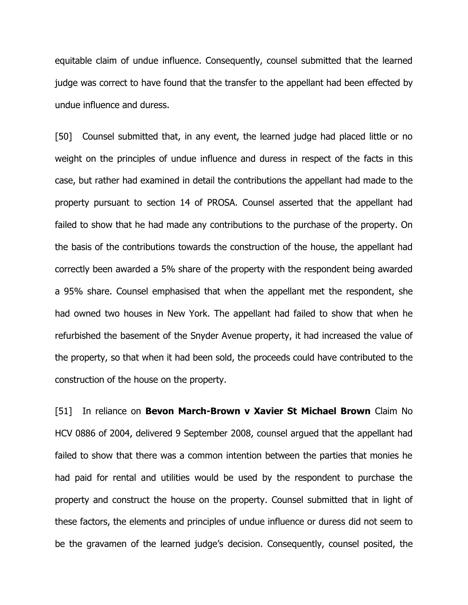equitable claim of undue influence. Consequently, counsel submitted that the learned judge was correct to have found that the transfer to the appellant had been effected by undue influence and duress.

[50] Counsel submitted that, in any event, the learned judge had placed little or no weight on the principles of undue influence and duress in respect of the facts in this case, but rather had examined in detail the contributions the appellant had made to the property pursuant to section 14 of PROSA. Counsel asserted that the appellant had failed to show that he had made any contributions to the purchase of the property. On the basis of the contributions towards the construction of the house, the appellant had correctly been awarded a 5% share of the property with the respondent being awarded a 95% share. Counsel emphasised that when the appellant met the respondent, she had owned two houses in New York. The appellant had failed to show that when he refurbished the basement of the Snyder Avenue property, it had increased the value of the property, so that when it had been sold, the proceeds could have contributed to the construction of the house on the property.

[51] In reliance on **Bevon March-Brown v Xavier St Michael Brown** Claim No HCV 0886 of 2004, delivered 9 September 2008, counsel argued that the appellant had failed to show that there was a common intention between the parties that monies he had paid for rental and utilities would be used by the respondent to purchase the property and construct the house on the property. Counsel submitted that in light of these factors, the elements and principles of undue influence or duress did not seem to be the gravamen of the learned judge"s decision. Consequently, counsel posited, the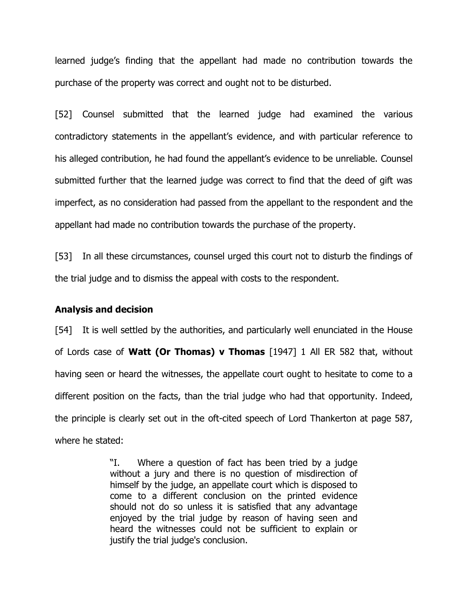learned judge"s finding that the appellant had made no contribution towards the purchase of the property was correct and ought not to be disturbed.

[52] Counsel submitted that the learned judge had examined the various contradictory statements in the appellant"s evidence, and with particular reference to his alleged contribution, he had found the appellant's evidence to be unreliable. Counsel submitted further that the learned judge was correct to find that the deed of gift was imperfect, as no consideration had passed from the appellant to the respondent and the appellant had made no contribution towards the purchase of the property.

[53] In all these circumstances, counsel urged this court not to disturb the findings of the trial judge and to dismiss the appeal with costs to the respondent.

#### **Analysis and decision**

[54] It is well settled by the authorities, and particularly well enunciated in the House of Lords case of **Watt (Or Thomas) v Thomas** [1947] 1 All ER 582 that, without having seen or heard the witnesses, the appellate court ought to hesitate to come to a different position on the facts, than the trial judge who had that opportunity. Indeed, the principle is clearly set out in the oft-cited speech of Lord Thankerton at page 587, where he stated:

> "I. Where a question of fact has been tried by a judge without a jury and there is no question of misdirection of himself by the judge, an appellate court which is disposed to come to a different conclusion on the printed evidence should not do so unless it is satisfied that any advantage enjoyed by the trial judge by reason of having seen and heard the witnesses could not be sufficient to explain or justify the trial judge's conclusion.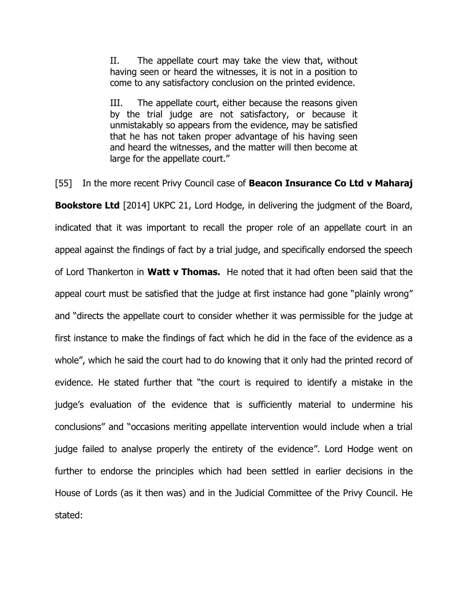II. The appellate court may take the view that, without having seen or heard the witnesses, it is not in a position to come to any satisfactory conclusion on the printed evidence.

III. The appellate court, either because the reasons given by the trial judge are not satisfactory, or because it unmistakably so appears from the evidence, may be satisfied that he has not taken proper advantage of his having seen and heard the witnesses, and the matter will then become at large for the appellate court."

[55] In the more recent Privy Council case of **Beacon Insurance Co Ltd v Maharaj Bookstore Ltd** [2014] UKPC 21, Lord Hodge, in delivering the judgment of the Board, indicated that it was important to recall the proper role of an appellate court in an appeal against the findings of fact by a trial judge, and specifically endorsed the speech of Lord Thankerton in **Watt v Thomas.** He noted that it had often been said that the appeal court must be satisfied that the judge at first instance had gone "plainly wrong" and "directs the appellate court to consider whether it was permissible for the judge at first instance to make the findings of fact which he did in the face of the evidence as a whole", which he said the court had to do knowing that it only had the printed record of evidence. He stated further that "the court is required to identify a mistake in the judge"s evaluation of the evidence that is sufficiently material to undermine his conclusions" and "occasions meriting appellate intervention would include when a trial judge failed to analyse properly the entirety of the evidence". Lord Hodge went on further to endorse the principles which had been settled in earlier decisions in the House of Lords (as it then was) and in the Judicial Committee of the Privy Council. He stated: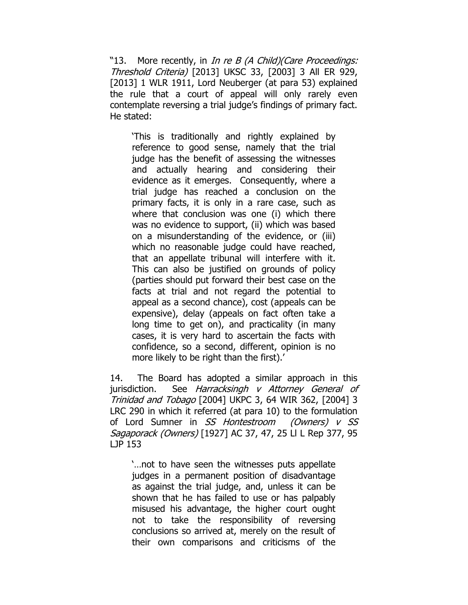"13. More recently, in *In re B (A Child)(Care Proceedings:* Threshold Criteria) [2013] UKSC 33, [2003] 3 All ER 929, [2013] 1 WLR 1911, Lord Neuberger (at para 53) explained the rule that a court of appeal will only rarely even contemplate reversing a trial judge's findings of primary fact. He stated:

"This is traditionally and rightly explained by reference to good sense, namely that the trial judge has the benefit of assessing the witnesses and actually hearing and considering their evidence as it emerges. Consequently, where a trial judge has reached a conclusion on the primary facts, it is only in a rare case, such as where that conclusion was one (i) which there was no evidence to support, (ii) which was based on a misunderstanding of the evidence, or (iii) which no reasonable judge could have reached, that an appellate tribunal will interfere with it. This can also be justified on grounds of policy (parties should put forward their best case on the facts at trial and not regard the potential to appeal as a second chance), cost (appeals can be expensive), delay (appeals on fact often take a long time to get on), and practicality (in many cases, it is very hard to ascertain the facts with confidence, so a second, different, opinion is no more likely to be right than the first).'

14. The Board has adopted a similar approach in this jurisdiction. See Harracksingh v Attorney General of Trinidad and Tobago [2004] UKPC 3, 64 WIR 362, [2004] 3 LRC 290 in which it referred (at para 10) to the formulation of Lord Sumner in SS Hontestroom (Owners) v SS Sagaporack (Owners) [1927] AC 37, 47, 25 Ll L Rep 377, 95 LJP 153

"…not to have seen the witnesses puts appellate judges in a permanent position of disadvantage as against the trial judge, and, unless it can be shown that he has failed to use or has palpably misused his advantage, the higher court ought not to take the responsibility of reversing conclusions so arrived at, merely on the result of their own comparisons and criticisms of the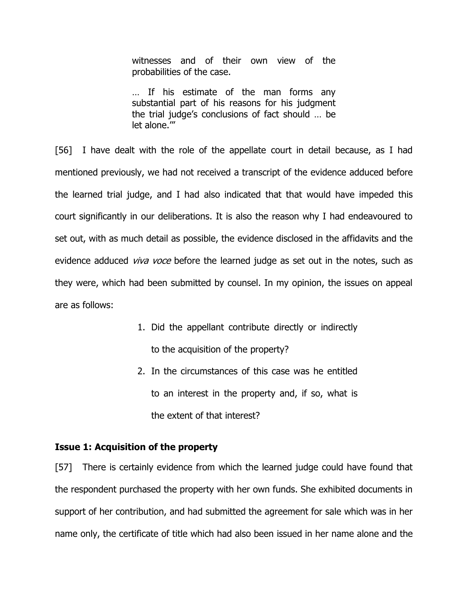witnesses and of their own view of the probabilities of the case.

… If his estimate of the man forms any substantial part of his reasons for his judgment the trial judge"s conclusions of fact should … be let alone.""

[56] I have dealt with the role of the appellate court in detail because, as I had mentioned previously, we had not received a transcript of the evidence adduced before the learned trial judge, and I had also indicated that that would have impeded this court significantly in our deliberations. It is also the reason why I had endeavoured to set out, with as much detail as possible, the evidence disclosed in the affidavits and the evidence adduced *viva voce* before the learned judge as set out in the notes, such as they were, which had been submitted by counsel. In my opinion, the issues on appeal are as follows:

- 1. Did the appellant contribute directly or indirectly to the acquisition of the property?
- 2. In the circumstances of this case was he entitled to an interest in the property and, if so, what is the extent of that interest?

## **Issue 1: Acquisition of the property**

[57] There is certainly evidence from which the learned judge could have found that the respondent purchased the property with her own funds. She exhibited documents in support of her contribution, and had submitted the agreement for sale which was in her name only, the certificate of title which had also been issued in her name alone and the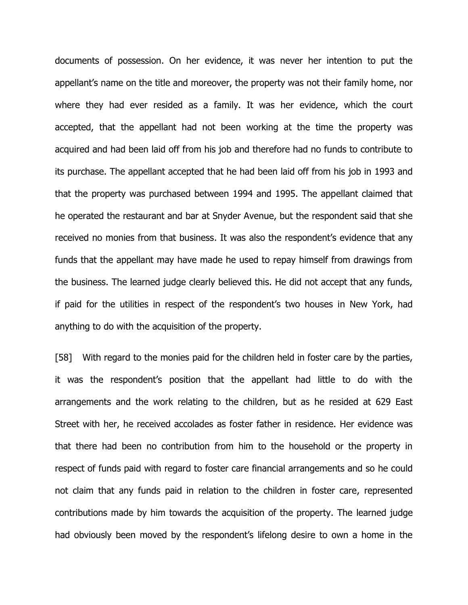documents of possession. On her evidence, it was never her intention to put the appellant's name on the title and moreover, the property was not their family home, nor where they had ever resided as a family. It was her evidence, which the court accepted, that the appellant had not been working at the time the property was acquired and had been laid off from his job and therefore had no funds to contribute to its purchase. The appellant accepted that he had been laid off from his job in 1993 and that the property was purchased between 1994 and 1995. The appellant claimed that he operated the restaurant and bar at Snyder Avenue, but the respondent said that she received no monies from that business. It was also the respondent's evidence that any funds that the appellant may have made he used to repay himself from drawings from the business. The learned judge clearly believed this. He did not accept that any funds, if paid for the utilities in respect of the respondent"s two houses in New York, had anything to do with the acquisition of the property.

[58] With regard to the monies paid for the children held in foster care by the parties, it was the respondent"s position that the appellant had little to do with the arrangements and the work relating to the children, but as he resided at 629 East Street with her, he received accolades as foster father in residence. Her evidence was that there had been no contribution from him to the household or the property in respect of funds paid with regard to foster care financial arrangements and so he could not claim that any funds paid in relation to the children in foster care, represented contributions made by him towards the acquisition of the property. The learned judge had obviously been moved by the respondent"s lifelong desire to own a home in the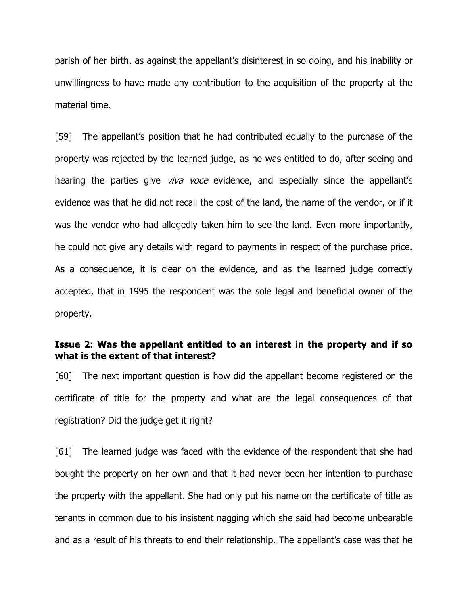parish of her birth, as against the appellant's disinterest in so doing, and his inability or unwillingness to have made any contribution to the acquisition of the property at the material time.

[59] The appellant"s position that he had contributed equally to the purchase of the property was rejected by the learned judge, as he was entitled to do, after seeing and hearing the parties give *viva voce* evidence, and especially since the appellant's evidence was that he did not recall the cost of the land, the name of the vendor, or if it was the vendor who had allegedly taken him to see the land. Even more importantly, he could not give any details with regard to payments in respect of the purchase price. As a consequence, it is clear on the evidence, and as the learned judge correctly accepted, that in 1995 the respondent was the sole legal and beneficial owner of the property.

## **Issue 2: Was the appellant entitled to an interest in the property and if so what is the extent of that interest?**

[60] The next important question is how did the appellant become registered on the certificate of title for the property and what are the legal consequences of that registration? Did the judge get it right?

[61] The learned judge was faced with the evidence of the respondent that she had bought the property on her own and that it had never been her intention to purchase the property with the appellant. She had only put his name on the certificate of title as tenants in common due to his insistent nagging which she said had become unbearable and as a result of his threats to end their relationship. The appellant"s case was that he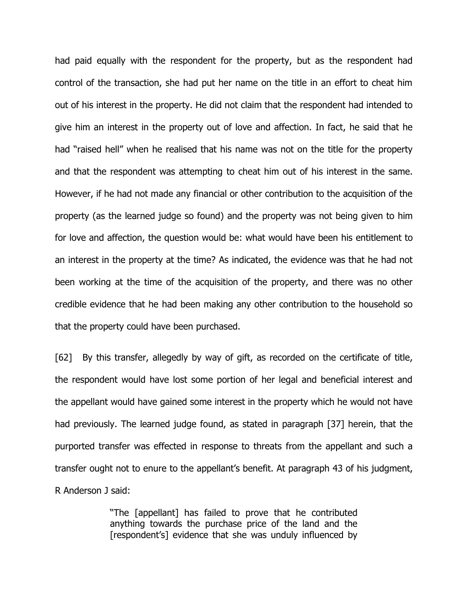had paid equally with the respondent for the property, but as the respondent had control of the transaction, she had put her name on the title in an effort to cheat him out of his interest in the property. He did not claim that the respondent had intended to give him an interest in the property out of love and affection. In fact, he said that he had "raised hell" when he realised that his name was not on the title for the property and that the respondent was attempting to cheat him out of his interest in the same. However, if he had not made any financial or other contribution to the acquisition of the property (as the learned judge so found) and the property was not being given to him for love and affection, the question would be: what would have been his entitlement to an interest in the property at the time? As indicated, the evidence was that he had not been working at the time of the acquisition of the property, and there was no other credible evidence that he had been making any other contribution to the household so that the property could have been purchased.

[62] By this transfer, allegedly by way of gift, as recorded on the certificate of title, the respondent would have lost some portion of her legal and beneficial interest and the appellant would have gained some interest in the property which he would not have had previously. The learned judge found, as stated in paragraph [37] herein, that the purported transfer was effected in response to threats from the appellant and such a transfer ought not to enure to the appellant"s benefit. At paragraph 43 of his judgment, R Anderson J said:

> "The [appellant] has failed to prove that he contributed anything towards the purchase price of the land and the [respondent's] evidence that she was unduly influenced by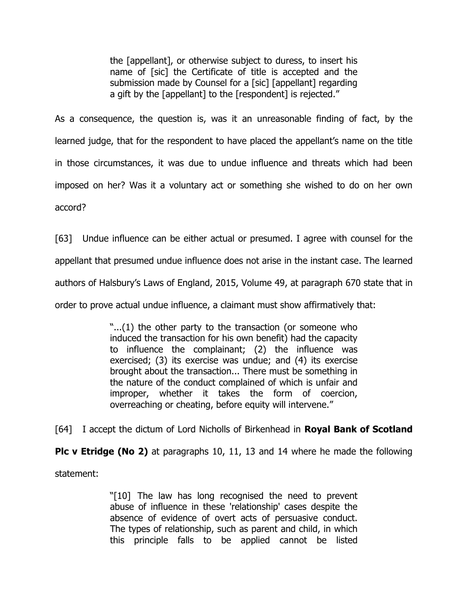the [appellant], or otherwise subject to duress, to insert his name of [sic] the Certificate of title is accepted and the submission made by Counsel for a [sic] [appellant] regarding a gift by the [appellant] to the [respondent] is rejected."

As a consequence, the question is, was it an unreasonable finding of fact, by the learned judge, that for the respondent to have placed the appellant"s name on the title in those circumstances, it was due to undue influence and threats which had been imposed on her? Was it a voluntary act or something she wished to do on her own accord?

[63] Undue influence can be either actual or presumed. I agree with counsel for the appellant that presumed undue influence does not arise in the instant case. The learned authors of Halsbury"s Laws of England, 2015, Volume 49, at paragraph 670 state that in order to prove actual undue influence, a claimant must show affirmatively that:

> "...(1) the other party to the transaction (or someone who induced the transaction for his own benefit) had the capacity to influence the complainant; (2) the influence was exercised; (3) its exercise was undue; and (4) its exercise brought about the transaction... There must be something in the nature of the conduct complained of which is unfair and improper, whether it takes the form of coercion, overreaching or cheating, before equity will intervene."

[64] I accept the dictum of Lord Nicholls of Birkenhead in **Royal Bank of Scotland Plc v Etridge (No 2)** at paragraphs 10, 11, 13 and 14 where he made the following

statement:

"[10] The law has long recognised the need to prevent abuse of influence in these 'relationship' cases despite the absence of evidence of overt acts of persuasive conduct. The types of relationship, such as parent and child, in which this principle falls to be applied cannot be listed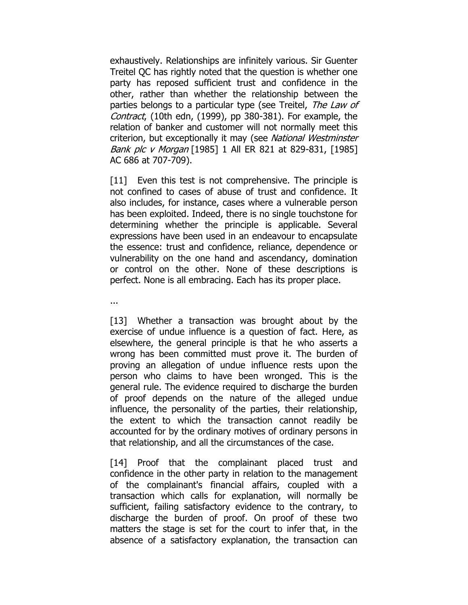exhaustively. Relationships are infinitely various. Sir Guenter Treitel QC has rightly noted that the question is whether one party has reposed sufficient trust and confidence in the other, rather than whether the relationship between the parties belongs to a particular type (see Treitel, The Law of Contract, (10th edn, (1999), pp 380-381). For example, the relation of banker and customer will not normally meet this criterion, but exceptionally it may (see National Westminster Bank plc v Morgan [\[1985\]](https://www.lexisnexis.com/uk/legal/search/enhRunRemoteLink.do?A=0.25861033427657354&service=citation&langcountry=GB&backKey=20_T24717268123&linkInfo=F%23GB%23AC%23sel1%251985%25page%25686%25year%251985%25&ersKey=23_T24717268111) 1 All ER 821 at 829-831, [1985] AC [686](https://www.lexisnexis.com/uk/legal/search/enhRunRemoteLink.do?A=0.25861033427657354&service=citation&langcountry=GB&backKey=20_T24717268123&linkInfo=F%23GB%23AC%23sel1%251985%25page%25686%25year%251985%25&ersKey=23_T24717268111) at 707-709).

[11] Even this test is not comprehensive. The principle is not confined to cases of abuse of trust and confidence. It also includes, for instance, cases where a vulnerable person has been exploited. Indeed, there is no single touchstone for determining whether the principle is applicable. Several expressions have been used in an endeavour to encapsulate the essence: trust and confidence, reliance, dependence or vulnerability on the one hand and ascendancy, domination or control on the other. None of these descriptions is perfect. None is all embracing. Each has its proper place.

...

[13] Whether a transaction was brought about by the exercise of undue influence is a question of fact. Here, as elsewhere, the general principle is that he who asserts a wrong has been committed must prove it. The burden of proving an allegation of undue influence rests upon the person who claims to have been wronged. This is the general rule. The evidence required to discharge the burden of proof depends on the nature of the alleged undue influence, the personality of the parties, their relationship, the extent to which the transaction cannot readily be accounted for by the ordinary motives of ordinary persons in that relationship, and all the circumstances of the case.

[14] Proof that the complainant placed trust and confidence in the other party in relation to the management of the complainant's financial affairs, coupled with a transaction which calls for explanation, will normally be sufficient, failing satisfactory evidence to the contrary, to discharge the burden of proof. On proof of these two matters the stage is set for the court to infer that, in the absence of a satisfactory explanation, the transaction can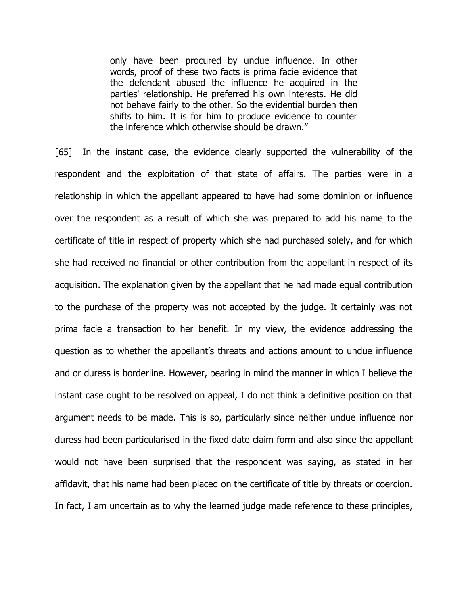only have been procured by undue influence. In other words, proof of these two facts is prima facie evidence that the defendant abused the influence he acquired in the parties' relationship. He preferred his own interests. He did not behave fairly to the other. So the evidential burden then shifts to him. It is for him to produce evidence to counter the inference which otherwise should be drawn."

[65] In the instant case, the evidence clearly supported the vulnerability of the respondent and the exploitation of that state of affairs. The parties were in a relationship in which the appellant appeared to have had some dominion or influence over the respondent as a result of which she was prepared to add his name to the certificate of title in respect of property which she had purchased solely, and for which she had received no financial or other contribution from the appellant in respect of its acquisition. The explanation given by the appellant that he had made equal contribution to the purchase of the property was not accepted by the judge. It certainly was not prima facie a transaction to her benefit. In my view, the evidence addressing the question as to whether the appellant"s threats and actions amount to undue influence and or duress is borderline. However, bearing in mind the manner in which I believe the instant case ought to be resolved on appeal, I do not think a definitive position on that argument needs to be made. This is so, particularly since neither undue influence nor duress had been particularised in the fixed date claim form and also since the appellant would not have been surprised that the respondent was saying, as stated in her affidavit, that his name had been placed on the certificate of title by threats or coercion. In fact, I am uncertain as to why the learned judge made reference to these principles,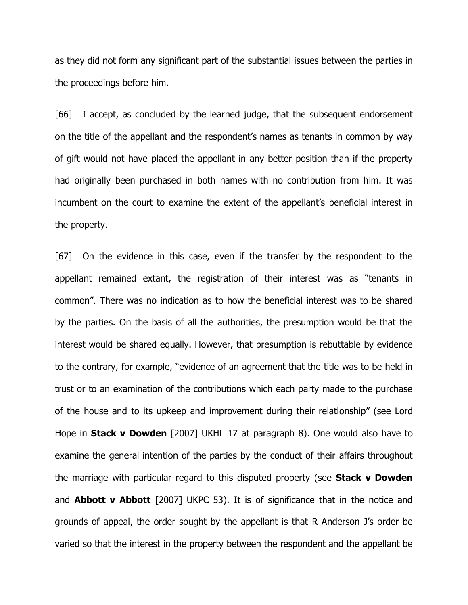as they did not form any significant part of the substantial issues between the parties in the proceedings before him.

[66] I accept, as concluded by the learned judge, that the subsequent endorsement on the title of the appellant and the respondent"s names as tenants in common by way of gift would not have placed the appellant in any better position than if the property had originally been purchased in both names with no contribution from him. It was incumbent on the court to examine the extent of the appellant"s beneficial interest in the property.

[67] On the evidence in this case, even if the transfer by the respondent to the appellant remained extant, the registration of their interest was as "tenants in common". There was no indication as to how the beneficial interest was to be shared by the parties. On the basis of all the authorities, the presumption would be that the interest would be shared equally. However, that presumption is rebuttable by evidence to the contrary, for example, "evidence of an agreement that the title was to be held in trust or to an examination of the contributions which each party made to the purchase of the house and to its upkeep and improvement during their relationship" (see Lord Hope in **Stack v Dowden** [2007] UKHL 17 at paragraph 8). One would also have to examine the general intention of the parties by the conduct of their affairs throughout the marriage with particular regard to this disputed property (see **Stack v Dowden** and **Abbott v Abbott** [2007] UKPC 53). It is of significance that in the notice and grounds of appeal, the order sought by the appellant is that R Anderson J"s order be varied so that the interest in the property between the respondent and the appellant be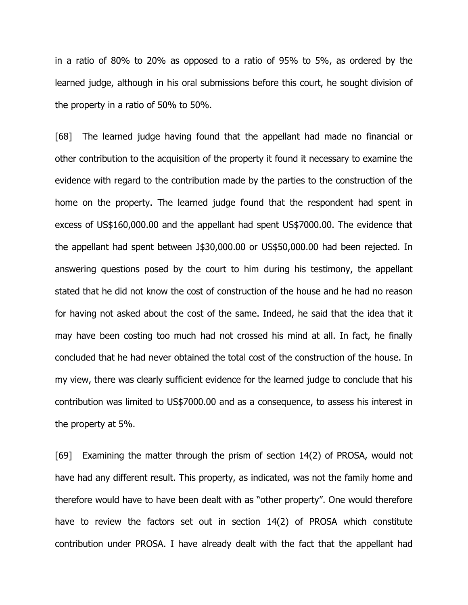in a ratio of 80% to 20% as opposed to a ratio of 95% to 5%, as ordered by the learned judge, although in his oral submissions before this court, he sought division of the property in a ratio of 50% to 50%.

[68] The learned judge having found that the appellant had made no financial or other contribution to the acquisition of the property it found it necessary to examine the evidence with regard to the contribution made by the parties to the construction of the home on the property. The learned judge found that the respondent had spent in excess of US\$160,000.00 and the appellant had spent US\$7000.00. The evidence that the appellant had spent between J\$30,000.00 or US\$50,000.00 had been rejected. In answering questions posed by the court to him during his testimony, the appellant stated that he did not know the cost of construction of the house and he had no reason for having not asked about the cost of the same. Indeed, he said that the idea that it may have been costing too much had not crossed his mind at all. In fact, he finally concluded that he had never obtained the total cost of the construction of the house. In my view, there was clearly sufficient evidence for the learned judge to conclude that his contribution was limited to US\$7000.00 and as a consequence, to assess his interest in the property at 5%.

[69] Examining the matter through the prism of section 14(2) of PROSA, would not have had any different result. This property, as indicated, was not the family home and therefore would have to have been dealt with as "other property". One would therefore have to review the factors set out in section 14(2) of PROSA which constitute contribution under PROSA. I have already dealt with the fact that the appellant had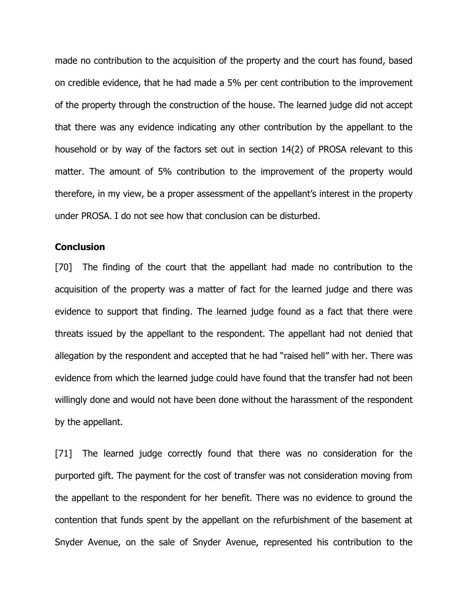made no contribution to the acquisition of the property and the court has found, based on credible evidence, that he had made a 5% per cent contribution to the improvement of the property through the construction of the house. The learned judge did not accept that there was any evidence indicating any other contribution by the appellant to the household or by way of the factors set out in section 14(2) of PROSA relevant to this matter. The amount of 5% contribution to the improvement of the property would therefore, in my view, be a proper assessment of the appellant"s interest in the property under PROSA. I do not see how that conclusion can be disturbed.

#### **Conclusion**

[70] The finding of the court that the appellant had made no contribution to the acquisition of the property was a matter of fact for the learned judge and there was evidence to support that finding. The learned judge found as a fact that there were threats issued by the appellant to the respondent. The appellant had not denied that allegation by the respondent and accepted that he had "raised hell" with her. There was evidence from which the learned judge could have found that the transfer had not been willingly done and would not have been done without the harassment of the respondent by the appellant.

[71] The learned judge correctly found that there was no consideration for the purported gift. The payment for the cost of transfer was not consideration moving from the appellant to the respondent for her benefit. There was no evidence to ground the contention that funds spent by the appellant on the refurbishment of the basement at Snyder Avenue, on the sale of Snyder Avenue, represented his contribution to the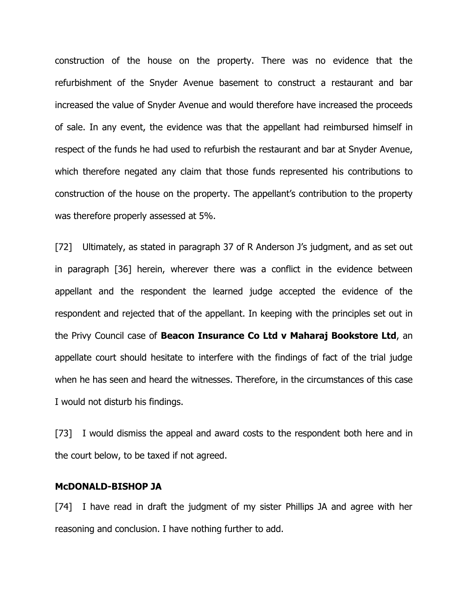construction of the house on the property. There was no evidence that the refurbishment of the Snyder Avenue basement to construct a restaurant and bar increased the value of Snyder Avenue and would therefore have increased the proceeds of sale. In any event, the evidence was that the appellant had reimbursed himself in respect of the funds he had used to refurbish the restaurant and bar at Snyder Avenue, which therefore negated any claim that those funds represented his contributions to construction of the house on the property. The appellant"s contribution to the property was therefore properly assessed at 5%.

[72] Ultimately, as stated in paragraph 37 of R Anderson J's judgment, and as set out in paragraph [36] herein, wherever there was a conflict in the evidence between appellant and the respondent the learned judge accepted the evidence of the respondent and rejected that of the appellant. In keeping with the principles set out in the Privy Council case of **Beacon Insurance Co Ltd v Maharaj Bookstore Ltd**, an appellate court should hesitate to interfere with the findings of fact of the trial judge when he has seen and heard the witnesses. Therefore, in the circumstances of this case I would not disturb his findings.

[73] I would dismiss the appeal and award costs to the respondent both here and in the court below, to be taxed if not agreed.

#### **McDONALD-BISHOP JA**

[74] I have read in draft the judgment of my sister Phillips JA and agree with her reasoning and conclusion. I have nothing further to add.